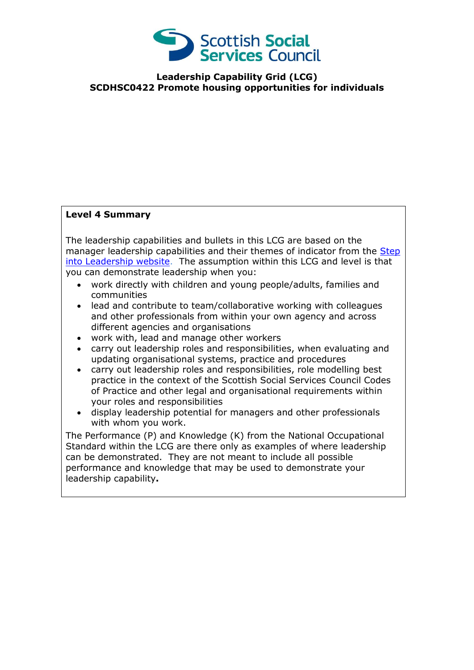

**Leadership Capability Grid (LCG) SCDHSC0422 Promote housing opportunities for individuals**

## **Level 4 Summary**

The leadership capabilities and bullets in this LCG are based on the manager leadership capabilities and their themes of indicator from the Step [into Leadership website.](http://www.stepintoleadership.info/) The assumption within this LCG and level is that you can demonstrate leadership when you:

- work directly with children and young people/adults, families and communities
- lead and contribute to team/collaborative working with colleagues and other professionals from within your own agency and across different agencies and organisations
- work with, lead and manage other workers
- carry out leadership roles and responsibilities, when evaluating and updating organisational systems, practice and procedures
- carry out leadership roles and responsibilities, role modelling best practice in the context of the Scottish Social Services Council Codes of Practice and other legal and organisational requirements within your roles and responsibilities
- display leadership potential for managers and other professionals with whom you work.

The Performance (P) and Knowledge (K) from the National Occupational Standard within the LCG are there only as examples of where leadership can be demonstrated. They are not meant to include all possible performance and knowledge that may be used to demonstrate your leadership capability**.**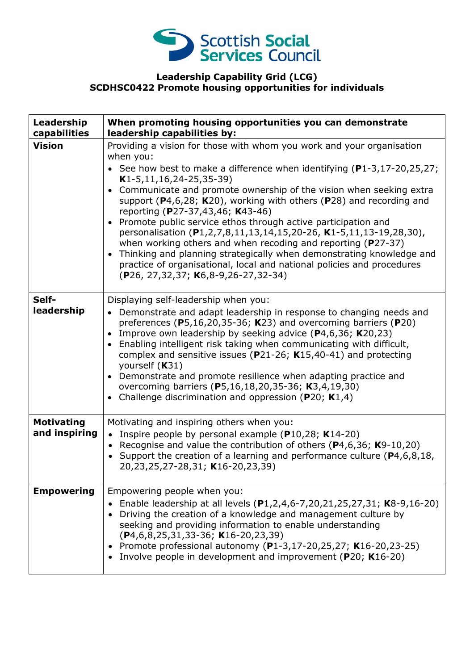

## **Leadership Capability Grid (LCG) SCDHSC0422 Promote housing opportunities for individuals**

| Leadership<br>capabilities         | When promoting housing opportunities you can demonstrate<br>leadership capabilities by:                                                                                                                                                                                                                                                                                                                                                                                                                                                                                                                                                                                                                                                                                                                                                        |
|------------------------------------|------------------------------------------------------------------------------------------------------------------------------------------------------------------------------------------------------------------------------------------------------------------------------------------------------------------------------------------------------------------------------------------------------------------------------------------------------------------------------------------------------------------------------------------------------------------------------------------------------------------------------------------------------------------------------------------------------------------------------------------------------------------------------------------------------------------------------------------------|
| <b>Vision</b>                      | Providing a vision for those with whom you work and your organisation<br>when you:<br>• See how best to make a difference when identifying $(P1-3, 17-20, 25, 27)$ ;<br>$K1-5, 11, 16, 24-25, 35-39)$<br>Communicate and promote ownership of the vision when seeking extra<br>$\bullet$<br>support ( $P$ 4,6,28; K20), working with others ( $P$ 28) and recording and<br>reporting (P27-37,43,46; K43-46)<br>Promote public service ethos through active participation and<br>$\bullet$<br>personalisation (P1,2,7,8,11,13,14,15,20-26, K1-5,11,13-19,28,30),<br>when working others and when recoding and reporting ( $P27-37$ )<br>Thinking and planning strategically when demonstrating knowledge and<br>$\bullet$<br>practice of organisational, local and national policies and procedures<br>(P26, 27, 32, 37; K6, 8-9, 26-27, 32-34) |
| Self-<br>leadership                | Displaying self-leadership when you:<br>• Demonstrate and adapt leadership in response to changing needs and<br>preferences ( $P5,16,20,35-36$ ; K23) and overcoming barriers ( $P20$ )<br>Improve own leadership by seeking advice (P4,6,36; K20,23)<br>Enabling intelligent risk taking when communicating with difficult,<br>$\bullet$<br>complex and sensitive issues ( $P$ 21-26; K15,40-41) and protecting<br>yourself (K31)<br>Demonstrate and promote resilience when adapting practice and<br>overcoming barriers (P5,16,18,20,35-36; K3,4,19,30)<br>Challenge discrimination and oppression ( $P20$ ; K1,4)<br>$\bullet$                                                                                                                                                                                                             |
| <b>Motivating</b><br>and inspiring | Motivating and inspiring others when you:<br>• Inspire people by personal example (P10,28; K14-20)<br>Recognise and value the contribution of others ( $P4,6,36$ ; K9-10,20)<br>$\bullet$<br>Support the creation of a learning and performance culture (P4,6,8,18,<br>20,23,25,27-28,31; K16-20,23,39)                                                                                                                                                                                                                                                                                                                                                                                                                                                                                                                                        |
| <b>Empowering</b>                  | Empowering people when you:<br>Enable leadership at all levels (P1,2,4,6-7,20,21,25,27,31; K8-9,16-20)<br>Driving the creation of a knowledge and management culture by<br>seeking and providing information to enable understanding<br>$(P4, 6, 8, 25, 31, 33 - 36; K16 - 20, 23, 39)$<br>• Promote professional autonomy (P1-3,17-20,25,27; K16-20,23-25)<br>• Involve people in development and improvement (P20; K16-20)                                                                                                                                                                                                                                                                                                                                                                                                                   |